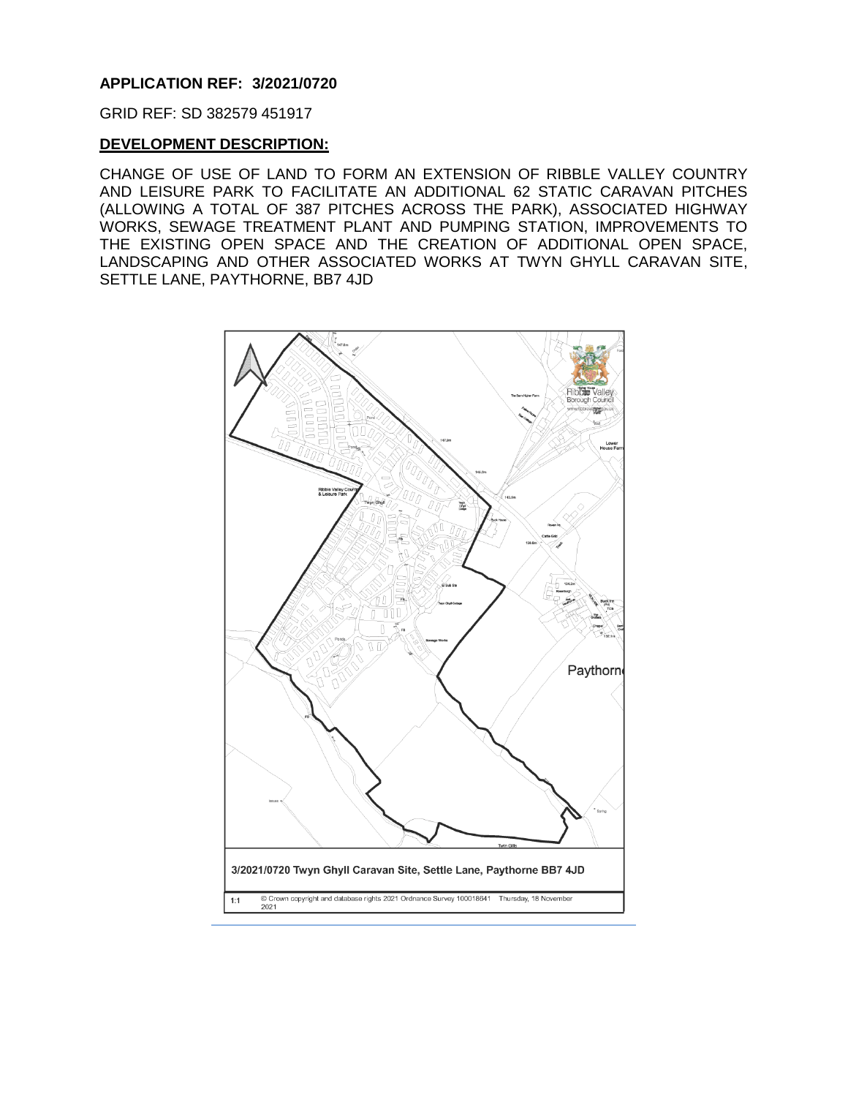#### **APPLICATION REF: 3/2021/0720**

GRID REF: SD 382579 451917

#### **DEVELOPMENT DESCRIPTION:**

CHANGE OF USE OF LAND TO FORM AN EXTENSION OF RIBBLE VALLEY COUNTRY AND LEISURE PARK TO FACILITATE AN ADDITIONAL 62 STATIC CARAVAN PITCHES (ALLOWING A TOTAL OF 387 PITCHES ACROSS THE PARK), ASSOCIATED HIGHWAY WORKS, SEWAGE TREATMENT PLANT AND PUMPING STATION, IMPROVEMENTS TO THE EXISTING OPEN SPACE AND THE CREATION OF ADDITIONAL OPEN SPACE, LANDSCAPING AND OTHER ASSOCIATED WORKS AT TWYN GHYLL CARAVAN SITE, SETTLE LANE, PAYTHORNE, BB7 4JD

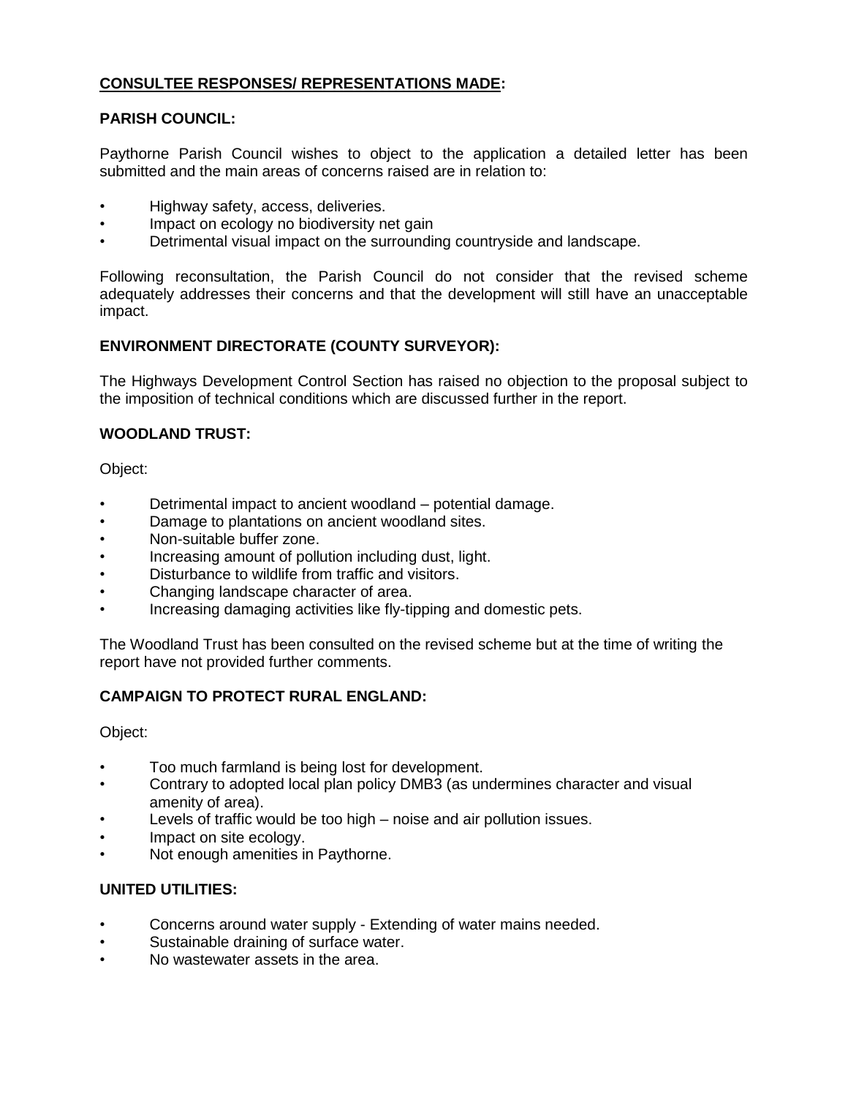# **CONSULTEE RESPONSES/ REPRESENTATIONS MADE:**

# **PARISH COUNCIL:**

Paythorne Parish Council wishes to object to the application a detailed letter has been submitted and the main areas of concerns raised are in relation to:

- Highway safety, access, deliveries.
- Impact on ecology no biodiversity net gain
- Detrimental visual impact on the surrounding countryside and landscape.

Following reconsultation, the Parish Council do not consider that the revised scheme adequately addresses their concerns and that the development will still have an unacceptable impact.

## **ENVIRONMENT DIRECTORATE (COUNTY SURVEYOR):**

The Highways Development Control Section has raised no objection to the proposal subject to the imposition of technical conditions which are discussed further in the report.

## **WOODLAND TRUST:**

Object:

- Detrimental impact to ancient woodland potential damage.
- Damage to plantations on ancient woodland sites.
- Non-suitable buffer zone.
- Increasing amount of pollution including dust, light.
- Disturbance to wildlife from traffic and visitors.
- Changing landscape character of area.
- Increasing damaging activities like fly-tipping and domestic pets.

The Woodland Trust has been consulted on the revised scheme but at the time of writing the report have not provided further comments.

# **CAMPAIGN TO PROTECT RURAL ENGLAND:**

Object:

- Too much farmland is being lost for development.
- Contrary to adopted local plan policy DMB3 (as undermines character and visual amenity of area).
- Levels of traffic would be too high noise and air pollution issues.
- Impact on site ecology.
- Not enough amenities in Paythorne.

### **UNITED UTILITIES:**

- Concerns around water supply Extending of water mains needed.
- Sustainable draining of surface water.
- No wastewater assets in the area.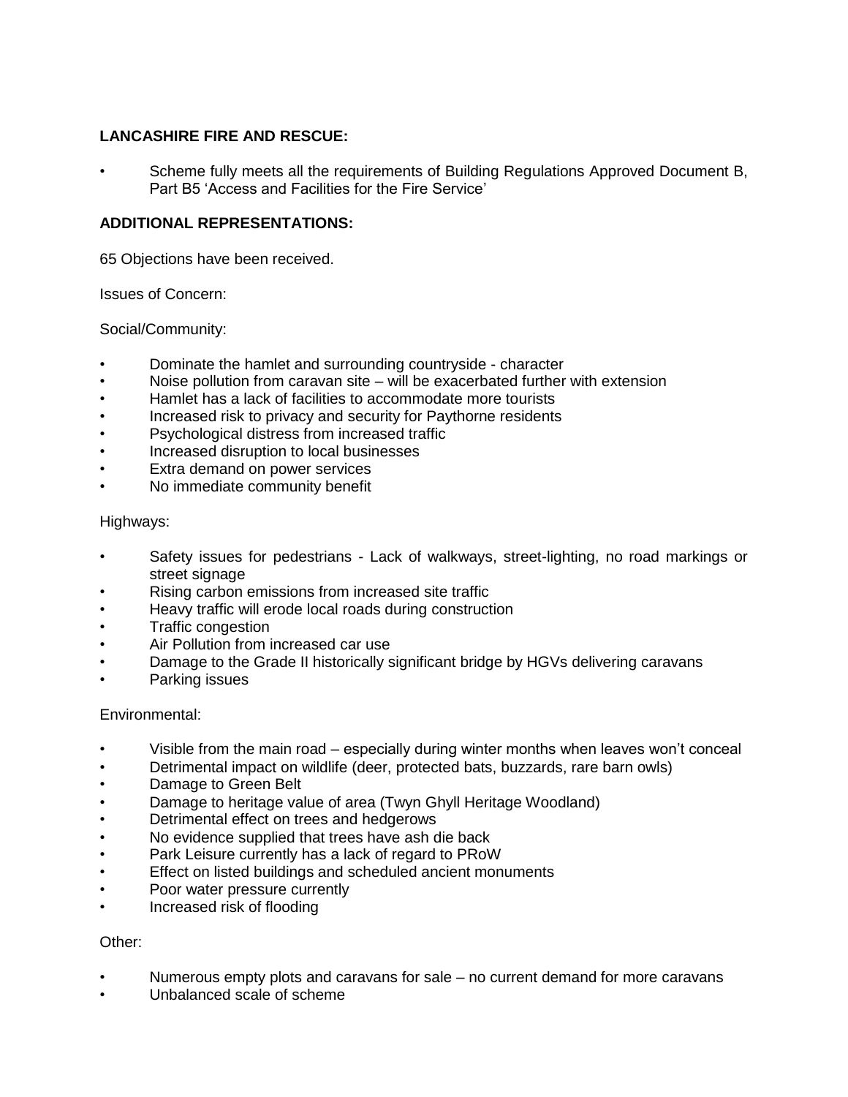## **LANCASHIRE FIRE AND RESCUE:**

• Scheme fully meets all the requirements of Building Regulations Approved Document B, Part B5 'Access and Facilities for the Fire Service'

# **ADDITIONAL REPRESENTATIONS:**

65 Objections have been received.

Issues of Concern:

Social/Community:

- Dominate the hamlet and surrounding countryside character
- Noise pollution from caravan site will be exacerbated further with extension
- Hamlet has a lack of facilities to accommodate more tourists
- Increased risk to privacy and security for Paythorne residents
- Psychological distress from increased traffic
- Increased disruption to local businesses
- Extra demand on power services
- No immediate community benefit

## Highways:

- Safety issues for pedestrians Lack of walkways, street-lighting, no road markings or street signage
- Rising carbon emissions from increased site traffic
- Heavy traffic will erode local roads during construction
- Traffic congestion
- Air Pollution from increased car use
- Damage to the Grade II historically significant bridge by HGVs delivering caravans
- Parking issues

### Environmental:

- Visible from the main road especially during winter months when leaves won't conceal
- Detrimental impact on wildlife (deer, protected bats, buzzards, rare barn owls)
- Damage to Green Belt
- Damage to heritage value of area (Twyn Ghyll Heritage Woodland)
- Detrimental effect on trees and hedgerows
- No evidence supplied that trees have ash die back
- Park Leisure currently has a lack of regard to PRoW
- Effect on listed buildings and scheduled ancient monuments
- Poor water pressure currently
- Increased risk of flooding

### Other:

- Numerous empty plots and caravans for sale no current demand for more caravans
- Unbalanced scale of scheme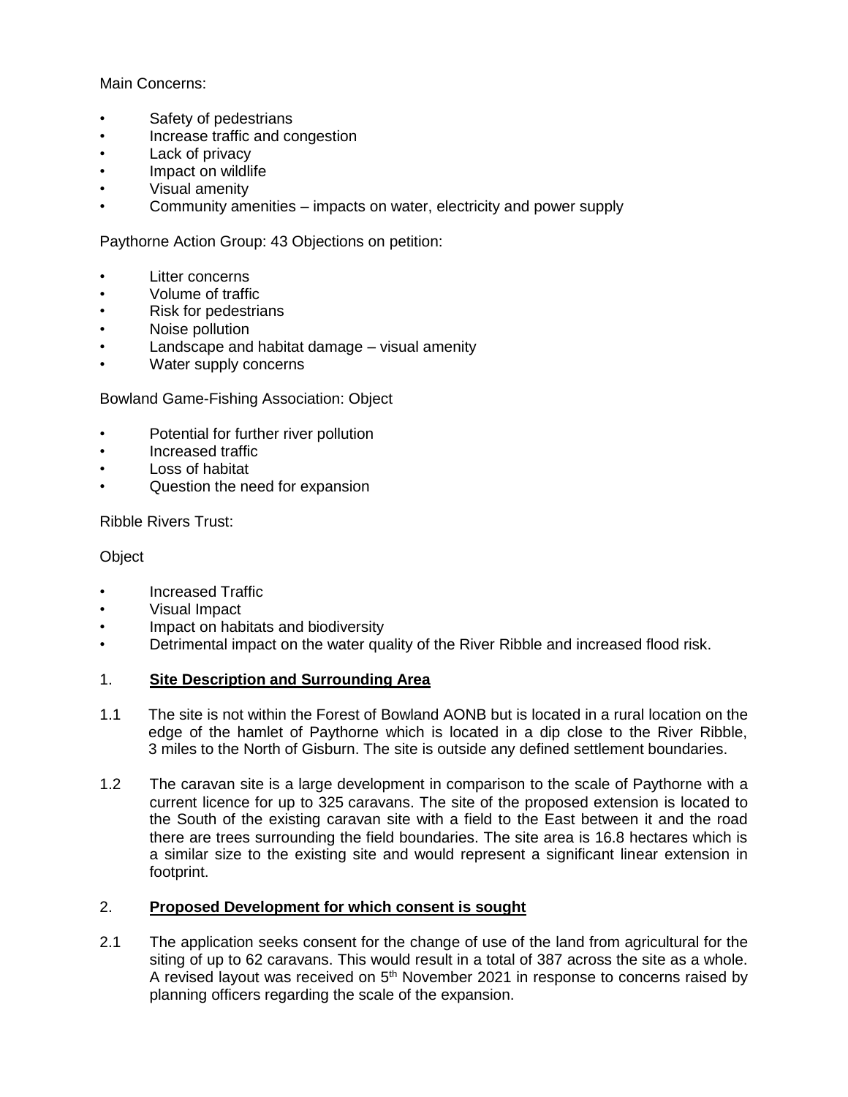Main Concerns:

- Safety of pedestrians
- Increase traffic and congestion
- Lack of privacy
- Impact on wildlife
- Visual amenity
- Community amenities impacts on water, electricity and power supply

Paythorne Action Group: 43 Objections on petition:

- Litter concerns
- Volume of traffic
- Risk for pedestrians
- Noise pollution
- Landscape and habitat damage visual amenity
- Water supply concerns

Bowland Game-Fishing Association: Object

- Potential for further river pollution
- Increased traffic
- Loss of habitat
- Question the need for expansion

Ribble Rivers Trust:

### **Object**

- Increased Traffic
- Visual Impact
- Impact on habitats and biodiversity
- Detrimental impact on the water quality of the River Ribble and increased flood risk.

### 1. **Site Description and Surrounding Area**

- 1.1 The site is not within the Forest of Bowland AONB but is located in a rural location on the edge of the hamlet of Paythorne which is located in a dip close to the River Ribble, 3 miles to the North of Gisburn. The site is outside any defined settlement boundaries.
- 1.2 The caravan site is a large development in comparison to the scale of Paythorne with a current licence for up to 325 caravans. The site of the proposed extension is located to the South of the existing caravan site with a field to the East between it and the road there are trees surrounding the field boundaries. The site area is 16.8 hectares which is a similar size to the existing site and would represent a significant linear extension in footprint.

## 2. **Proposed Development for which consent is sought**

2.1 The application seeks consent for the change of use of the land from agricultural for the siting of up to 62 caravans. This would result in a total of 387 across the site as a whole. A revised layout was received on  $5<sup>th</sup>$  November 2021 in response to concerns raised by planning officers regarding the scale of the expansion.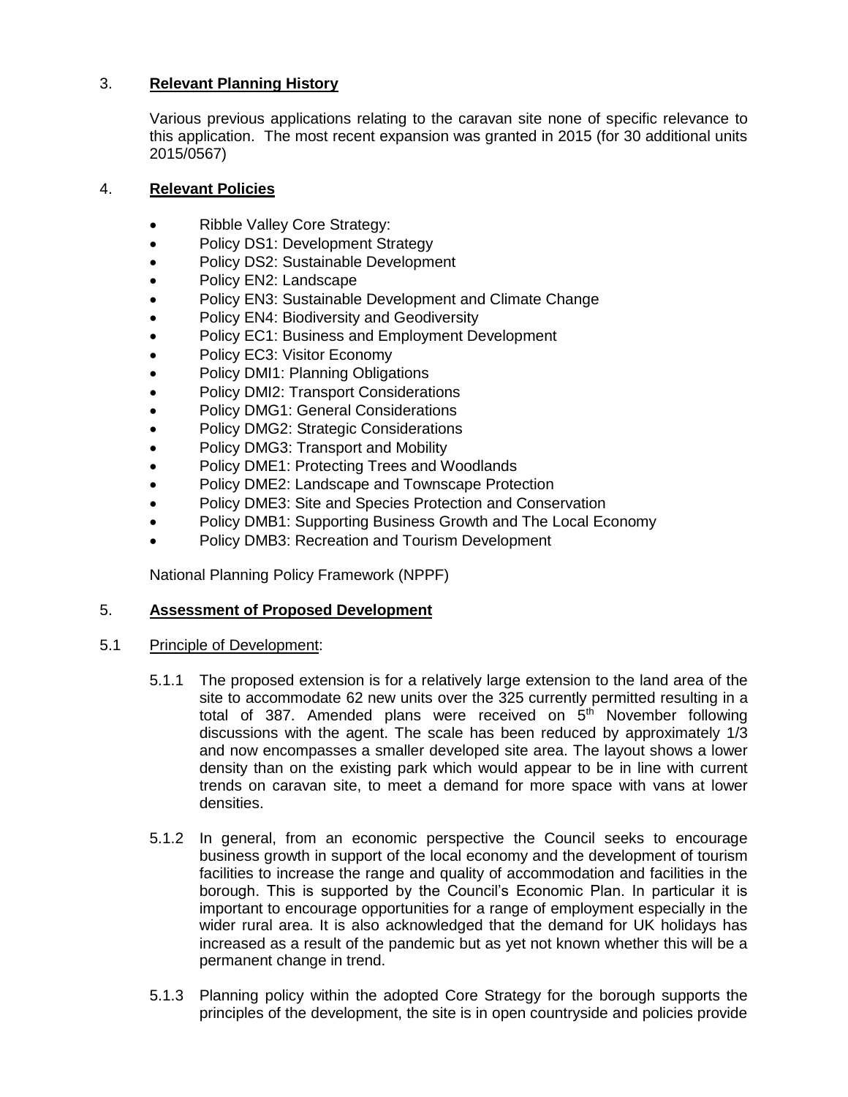# 3. **Relevant Planning History**

Various previous applications relating to the caravan site none of specific relevance to this application. The most recent expansion was granted in 2015 (for 30 additional units 2015/0567)

## 4. **Relevant Policies**

- Ribble Valley Core Strategy:
- Policy DS1: Development Strategy
- Policy DS2: Sustainable Development
- Policy EN2: Landscape
- Policy EN3: Sustainable Development and Climate Change
- Policy EN4: Biodiversity and Geodiversity
- Policy EC1: Business and Employment Development
- Policy EC3: Visitor Economy
- Policy DMI1: Planning Obligations
- Policy DMI2: Transport Considerations
- Policy DMG1: General Considerations
- Policy DMG2: Strategic Considerations
- Policy DMG3: Transport and Mobility
- Policy DME1: Protecting Trees and Woodlands
- Policy DME2: Landscape and Townscape Protection
- Policy DME3: Site and Species Protection and Conservation
- Policy DMB1: Supporting Business Growth and The Local Economy
- Policy DMB3: Recreation and Tourism Development

National Planning Policy Framework (NPPF)

### 5. **Assessment of Proposed Development**

- 5.1 Principle of Development:
	- 5.1.1 The proposed extension is for a relatively large extension to the land area of the site to accommodate 62 new units over the 325 currently permitted resulting in a total of 387. Amended plans were received on  $5<sup>th</sup>$  November following discussions with the agent. The scale has been reduced by approximately 1/3 and now encompasses a smaller developed site area. The layout shows a lower density than on the existing park which would appear to be in line with current trends on caravan site, to meet a demand for more space with vans at lower densities.
	- 5.1.2 In general, from an economic perspective the Council seeks to encourage business growth in support of the local economy and the development of tourism facilities to increase the range and quality of accommodation and facilities in the borough. This is supported by the Council's Economic Plan. In particular it is important to encourage opportunities for a range of employment especially in the wider rural area. It is also acknowledged that the demand for UK holidays has increased as a result of the pandemic but as yet not known whether this will be a permanent change in trend.
	- 5.1.3 Planning policy within the adopted Core Strategy for the borough supports the principles of the development, the site is in open countryside and policies provide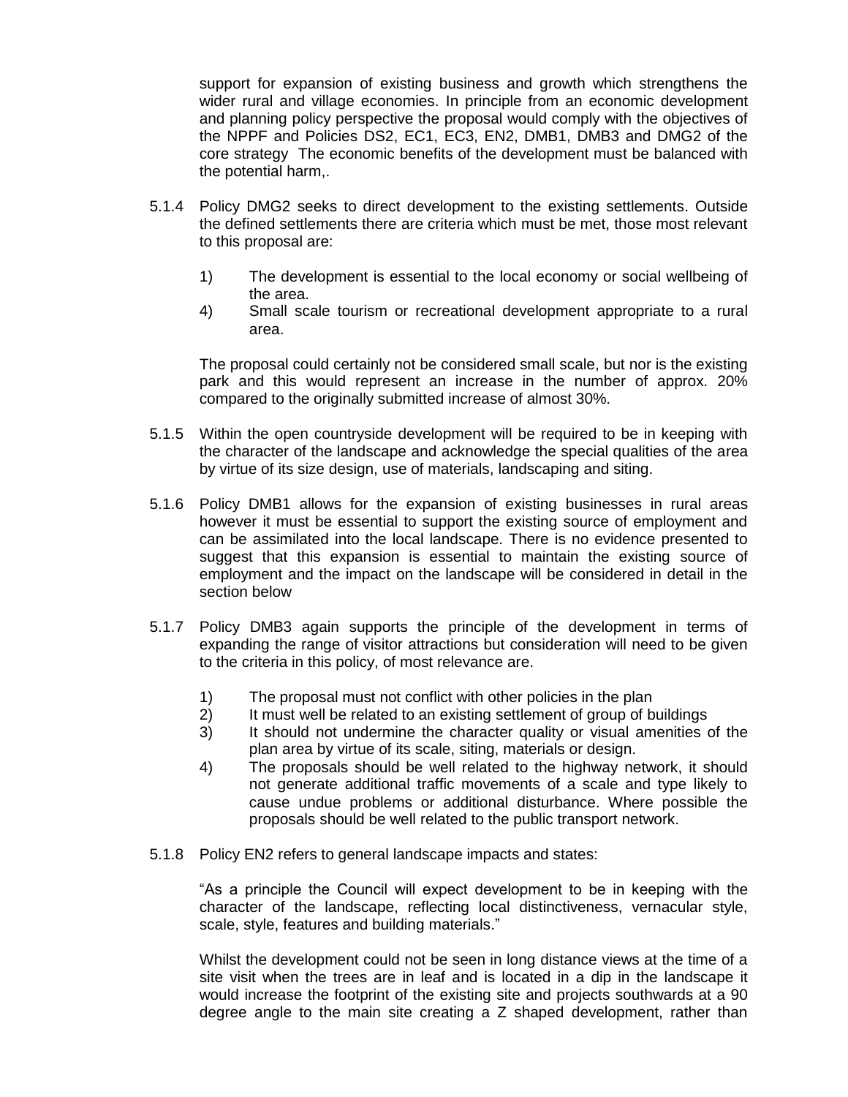support for expansion of existing business and growth which strengthens the wider rural and village economies. In principle from an economic development and planning policy perspective the proposal would comply with the objectives of the NPPF and Policies DS2, EC1, EC3, EN2, DMB1, DMB3 and DMG2 of the core strategy The economic benefits of the development must be balanced with the potential harm,.

- 5.1.4 Policy DMG2 seeks to direct development to the existing settlements. Outside the defined settlements there are criteria which must be met, those most relevant to this proposal are:
	- 1) The development is essential to the local economy or social wellbeing of the area.
	- 4) Small scale tourism or recreational development appropriate to a rural area.

The proposal could certainly not be considered small scale, but nor is the existing park and this would represent an increase in the number of approx. 20% compared to the originally submitted increase of almost 30%.

- 5.1.5 Within the open countryside development will be required to be in keeping with the character of the landscape and acknowledge the special qualities of the area by virtue of its size design, use of materials, landscaping and siting.
- 5.1.6 Policy DMB1 allows for the expansion of existing businesses in rural areas however it must be essential to support the existing source of employment and can be assimilated into the local landscape. There is no evidence presented to suggest that this expansion is essential to maintain the existing source of employment and the impact on the landscape will be considered in detail in the section below
- 5.1.7 Policy DMB3 again supports the principle of the development in terms of expanding the range of visitor attractions but consideration will need to be given to the criteria in this policy, of most relevance are.
	- 1) The proposal must not conflict with other policies in the plan
	- 2) It must well be related to an existing settlement of group of buildings
	- 3) It should not undermine the character quality or visual amenities of the plan area by virtue of its scale, siting, materials or design.
	- 4) The proposals should be well related to the highway network, it should not generate additional traffic movements of a scale and type likely to cause undue problems or additional disturbance. Where possible the proposals should be well related to the public transport network.
- 5.1.8 Policy EN2 refers to general landscape impacts and states:

"As a principle the Council will expect development to be in keeping with the character of the landscape, reflecting local distinctiveness, vernacular style, scale, style, features and building materials."

Whilst the development could not be seen in long distance views at the time of a site visit when the trees are in leaf and is located in a dip in the landscape it would increase the footprint of the existing site and projects southwards at a 90 degree angle to the main site creating a Z shaped development, rather than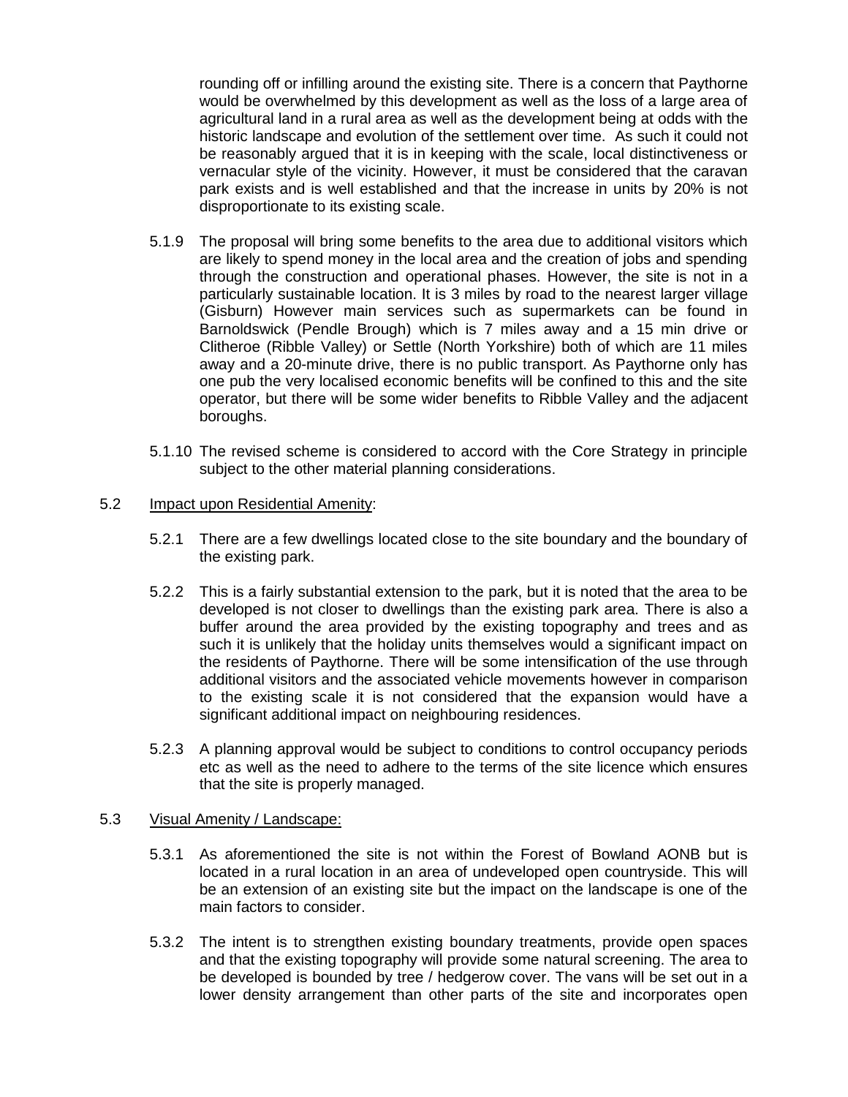rounding off or infilling around the existing site. There is a concern that Paythorne would be overwhelmed by this development as well as the loss of a large area of agricultural land in a rural area as well as the development being at odds with the historic landscape and evolution of the settlement over time. As such it could not be reasonably argued that it is in keeping with the scale, local distinctiveness or vernacular style of the vicinity. However, it must be considered that the caravan park exists and is well established and that the increase in units by 20% is not disproportionate to its existing scale.

- 5.1.9 The proposal will bring some benefits to the area due to additional visitors which are likely to spend money in the local area and the creation of jobs and spending through the construction and operational phases. However, the site is not in a particularly sustainable location. It is 3 miles by road to the nearest larger village (Gisburn) However main services such as supermarkets can be found in Barnoldswick (Pendle Brough) which is 7 miles away and a 15 min drive or Clitheroe (Ribble Valley) or Settle (North Yorkshire) both of which are 11 miles away and a 20-minute drive, there is no public transport. As Paythorne only has one pub the very localised economic benefits will be confined to this and the site operator, but there will be some wider benefits to Ribble Valley and the adjacent boroughs.
- 5.1.10 The revised scheme is considered to accord with the Core Strategy in principle subject to the other material planning considerations.

#### 5.2 Impact upon Residential Amenity:

- 5.2.1 There are a few dwellings located close to the site boundary and the boundary of the existing park.
- 5.2.2 This is a fairly substantial extension to the park, but it is noted that the area to be developed is not closer to dwellings than the existing park area. There is also a buffer around the area provided by the existing topography and trees and as such it is unlikely that the holiday units themselves would a significant impact on the residents of Paythorne. There will be some intensification of the use through additional visitors and the associated vehicle movements however in comparison to the existing scale it is not considered that the expansion would have a significant additional impact on neighbouring residences.
- 5.2.3 A planning approval would be subject to conditions to control occupancy periods etc as well as the need to adhere to the terms of the site licence which ensures that the site is properly managed.

#### 5.3 Visual Amenity / Landscape:

- 5.3.1 As aforementioned the site is not within the Forest of Bowland AONB but is located in a rural location in an area of undeveloped open countryside. This will be an extension of an existing site but the impact on the landscape is one of the main factors to consider.
- 5.3.2 The intent is to strengthen existing boundary treatments, provide open spaces and that the existing topography will provide some natural screening. The area to be developed is bounded by tree / hedgerow cover. The vans will be set out in a lower density arrangement than other parts of the site and incorporates open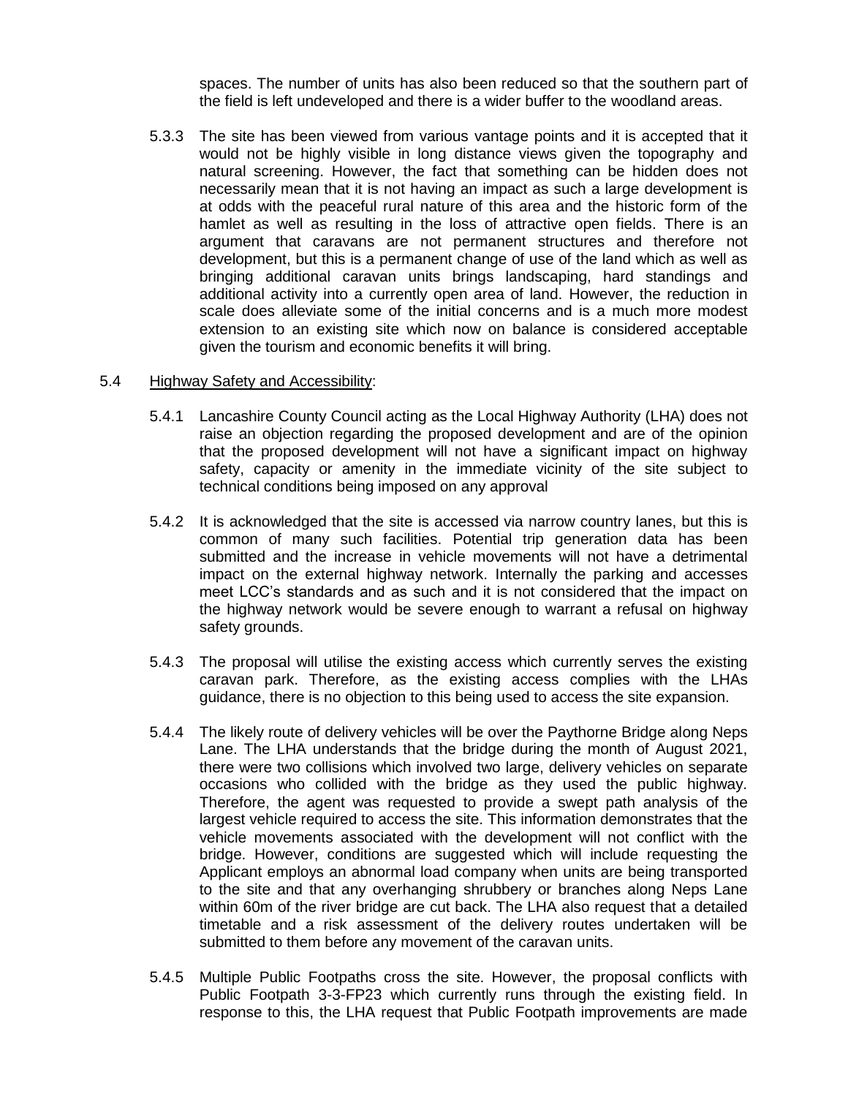spaces. The number of units has also been reduced so that the southern part of the field is left undeveloped and there is a wider buffer to the woodland areas.

5.3.3 The site has been viewed from various vantage points and it is accepted that it would not be highly visible in long distance views given the topography and natural screening. However, the fact that something can be hidden does not necessarily mean that it is not having an impact as such a large development is at odds with the peaceful rural nature of this area and the historic form of the hamlet as well as resulting in the loss of attractive open fields. There is an argument that caravans are not permanent structures and therefore not development, but this is a permanent change of use of the land which as well as bringing additional caravan units brings landscaping, hard standings and additional activity into a currently open area of land. However, the reduction in scale does alleviate some of the initial concerns and is a much more modest extension to an existing site which now on balance is considered acceptable given the tourism and economic benefits it will bring.

#### 5.4 Highway Safety and Accessibility:

- 5.4.1 Lancashire County Council acting as the Local Highway Authority (LHA) does not raise an objection regarding the proposed development and are of the opinion that the proposed development will not have a significant impact on highway safety, capacity or amenity in the immediate vicinity of the site subject to technical conditions being imposed on any approval
- 5.4.2 It is acknowledged that the site is accessed via narrow country lanes, but this is common of many such facilities. Potential trip generation data has been submitted and the increase in vehicle movements will not have a detrimental impact on the external highway network. Internally the parking and accesses meet LCC's standards and as such and it is not considered that the impact on the highway network would be severe enough to warrant a refusal on highway safety grounds.
- 5.4.3 The proposal will utilise the existing access which currently serves the existing caravan park. Therefore, as the existing access complies with the LHAs guidance, there is no objection to this being used to access the site expansion.
- 5.4.4 The likely route of delivery vehicles will be over the Paythorne Bridge along Neps Lane. The LHA understands that the bridge during the month of August 2021, there were two collisions which involved two large, delivery vehicles on separate occasions who collided with the bridge as they used the public highway. Therefore, the agent was requested to provide a swept path analysis of the largest vehicle required to access the site. This information demonstrates that the vehicle movements associated with the development will not conflict with the bridge. However, conditions are suggested which will include requesting the Applicant employs an abnormal load company when units are being transported to the site and that any overhanging shrubbery or branches along Neps Lane within 60m of the river bridge are cut back. The LHA also request that a detailed timetable and a risk assessment of the delivery routes undertaken will be submitted to them before any movement of the caravan units.
- 5.4.5 Multiple Public Footpaths cross the site. However, the proposal conflicts with Public Footpath 3-3-FP23 which currently runs through the existing field. In response to this, the LHA request that Public Footpath improvements are made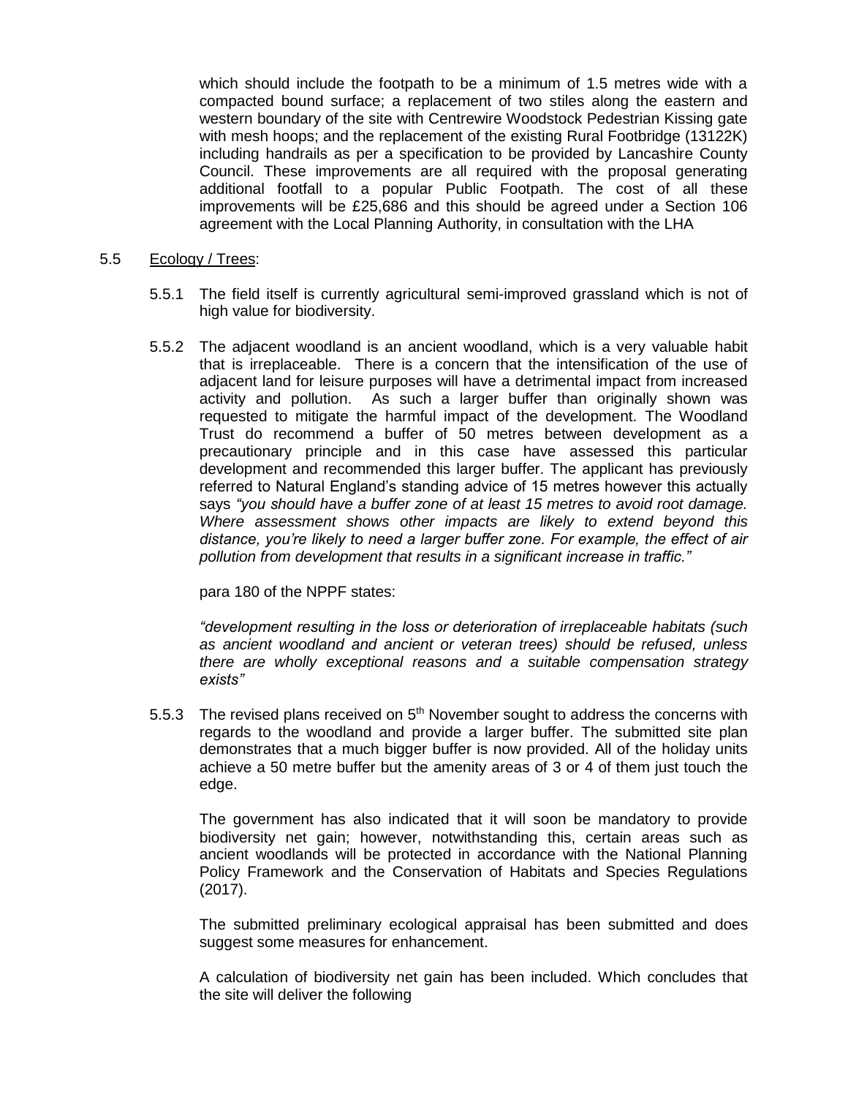which should include the footpath to be a minimum of 1.5 metres wide with a compacted bound surface; a replacement of two stiles along the eastern and western boundary of the site with Centrewire Woodstock Pedestrian Kissing gate with mesh hoops; and the replacement of the existing Rural Footbridge (13122K) including handrails as per a specification to be provided by Lancashire County Council. These improvements are all required with the proposal generating additional footfall to a popular Public Footpath. The cost of all these improvements will be £25,686 and this should be agreed under a Section 106 agreement with the Local Planning Authority, in consultation with the LHA

#### 5.5 Ecology / Trees:

- 5.5.1 The field itself is currently agricultural semi-improved grassland which is not of high value for biodiversity.
- 5.5.2 The adjacent woodland is an ancient woodland, which is a very valuable habit that is irreplaceable. There is a concern that the intensification of the use of adjacent land for leisure purposes will have a detrimental impact from increased activity and pollution. As such a larger buffer than originally shown was requested to mitigate the harmful impact of the development. The Woodland Trust do recommend a buffer of 50 metres between development as a precautionary principle and in this case have assessed this particular development and recommended this larger buffer. The applicant has previously referred to Natural England's standing advice of 15 metres however this actually says *"you should have a buffer zone of at least 15 metres to avoid root damage. Where assessment shows other impacts are likely to extend beyond this distance, you're likely to need a larger buffer zone. For example, the effect of air pollution from development that results in a significant increase in traffic."*

para 180 of the NPPF states:

*"development resulting in the loss or deterioration of irreplaceable habitats (such as ancient woodland and ancient or veteran trees) should be refused, unless there are wholly exceptional reasons and a suitable compensation strategy exists"*

5.5.3 The revised plans received on  $5<sup>th</sup>$  November sought to address the concerns with regards to the woodland and provide a larger buffer. The submitted site plan demonstrates that a much bigger buffer is now provided. All of the holiday units achieve a 50 metre buffer but the amenity areas of 3 or 4 of them just touch the edge.

The government has also indicated that it will soon be mandatory to provide biodiversity net gain; however, notwithstanding this, certain areas such as ancient woodlands will be protected in accordance with the National Planning Policy Framework and the Conservation of Habitats and Species Regulations (2017).

The submitted preliminary ecological appraisal has been submitted and does suggest some measures for enhancement.

A calculation of biodiversity net gain has been included. Which concludes that the site will deliver the following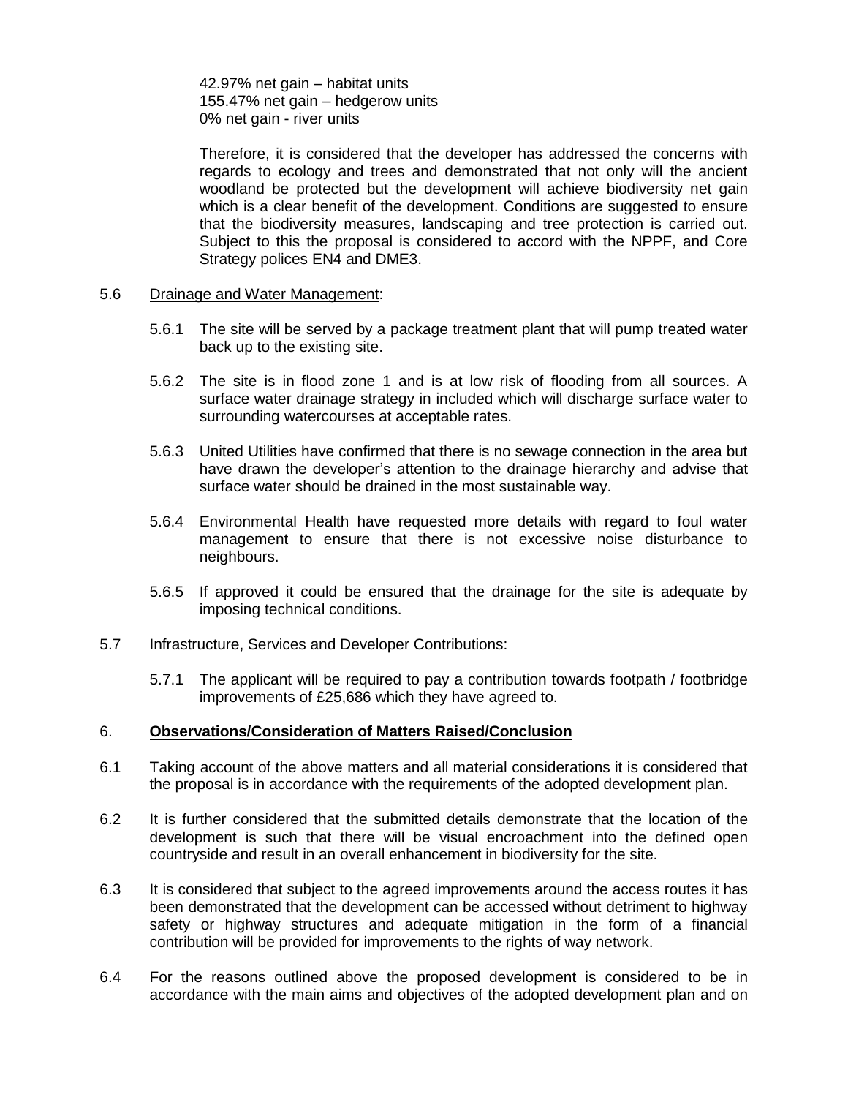42.97% net gain – habitat units 155.47% net gain – hedgerow units 0% net gain - river units

Therefore, it is considered that the developer has addressed the concerns with regards to ecology and trees and demonstrated that not only will the ancient woodland be protected but the development will achieve biodiversity net gain which is a clear benefit of the development. Conditions are suggested to ensure that the biodiversity measures, landscaping and tree protection is carried out. Subject to this the proposal is considered to accord with the NPPF, and Core Strategy polices EN4 and DME3.

#### 5.6 Drainage and Water Management:

- 5.6.1 The site will be served by a package treatment plant that will pump treated water back up to the existing site.
- 5.6.2 The site is in flood zone 1 and is at low risk of flooding from all sources. A surface water drainage strategy in included which will discharge surface water to surrounding watercourses at acceptable rates.
- 5.6.3 United Utilities have confirmed that there is no sewage connection in the area but have drawn the developer's attention to the drainage hierarchy and advise that surface water should be drained in the most sustainable way.
- 5.6.4 Environmental Health have requested more details with regard to foul water management to ensure that there is not excessive noise disturbance to neighbours.
- 5.6.5 If approved it could be ensured that the drainage for the site is adequate by imposing technical conditions.

#### 5.7 Infrastructure, Services and Developer Contributions:

5.7.1 The applicant will be required to pay a contribution towards footpath / footbridge improvements of £25,686 which they have agreed to.

#### 6. **Observations/Consideration of Matters Raised/Conclusion**

- 6.1 Taking account of the above matters and all material considerations it is considered that the proposal is in accordance with the requirements of the adopted development plan.
- 6.2 It is further considered that the submitted details demonstrate that the location of the development is such that there will be visual encroachment into the defined open countryside and result in an overall enhancement in biodiversity for the site.
- 6.3 It is considered that subject to the agreed improvements around the access routes it has been demonstrated that the development can be accessed without detriment to highway safety or highway structures and adequate mitigation in the form of a financial contribution will be provided for improvements to the rights of way network.
- 6.4 For the reasons outlined above the proposed development is considered to be in accordance with the main aims and objectives of the adopted development plan and on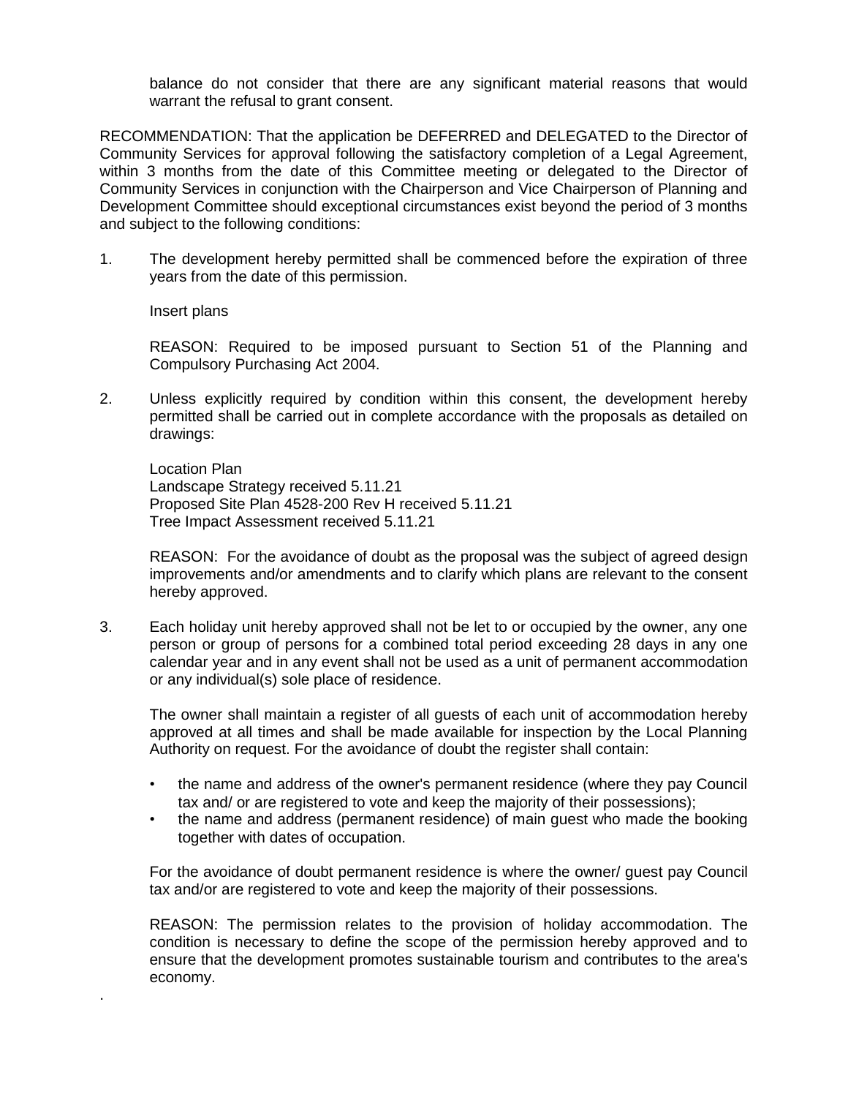balance do not consider that there are any significant material reasons that would warrant the refusal to grant consent.

RECOMMENDATION: That the application be DEFERRED and DELEGATED to the Director of Community Services for approval following the satisfactory completion of a Legal Agreement, within 3 months from the date of this Committee meeting or delegated to the Director of Community Services in conjunction with the Chairperson and Vice Chairperson of Planning and Development Committee should exceptional circumstances exist beyond the period of 3 months and subject to the following conditions:

1. The development hereby permitted shall be commenced before the expiration of three years from the date of this permission.

Insert plans

.

REASON: Required to be imposed pursuant to Section 51 of the Planning and Compulsory Purchasing Act 2004.

2. Unless explicitly required by condition within this consent, the development hereby permitted shall be carried out in complete accordance with the proposals as detailed on drawings:

Location Plan Landscape Strategy received 5.11.21 Proposed Site Plan 4528-200 Rev H received 5.11.21 Tree Impact Assessment received 5.11.21

REASON: For the avoidance of doubt as the proposal was the subject of agreed design improvements and/or amendments and to clarify which plans are relevant to the consent hereby approved.

3. Each holiday unit hereby approved shall not be let to or occupied by the owner, any one person or group of persons for a combined total period exceeding 28 days in any one calendar year and in any event shall not be used as a unit of permanent accommodation or any individual(s) sole place of residence.

The owner shall maintain a register of all guests of each unit of accommodation hereby approved at all times and shall be made available for inspection by the Local Planning Authority on request. For the avoidance of doubt the register shall contain:

- the name and address of the owner's permanent residence (where they pay Council tax and/ or are registered to vote and keep the majority of their possessions);
- the name and address (permanent residence) of main guest who made the booking together with dates of occupation.

For the avoidance of doubt permanent residence is where the owner/ guest pay Council tax and/or are registered to vote and keep the majority of their possessions.

REASON: The permission relates to the provision of holiday accommodation. The condition is necessary to define the scope of the permission hereby approved and to ensure that the development promotes sustainable tourism and contributes to the area's economy.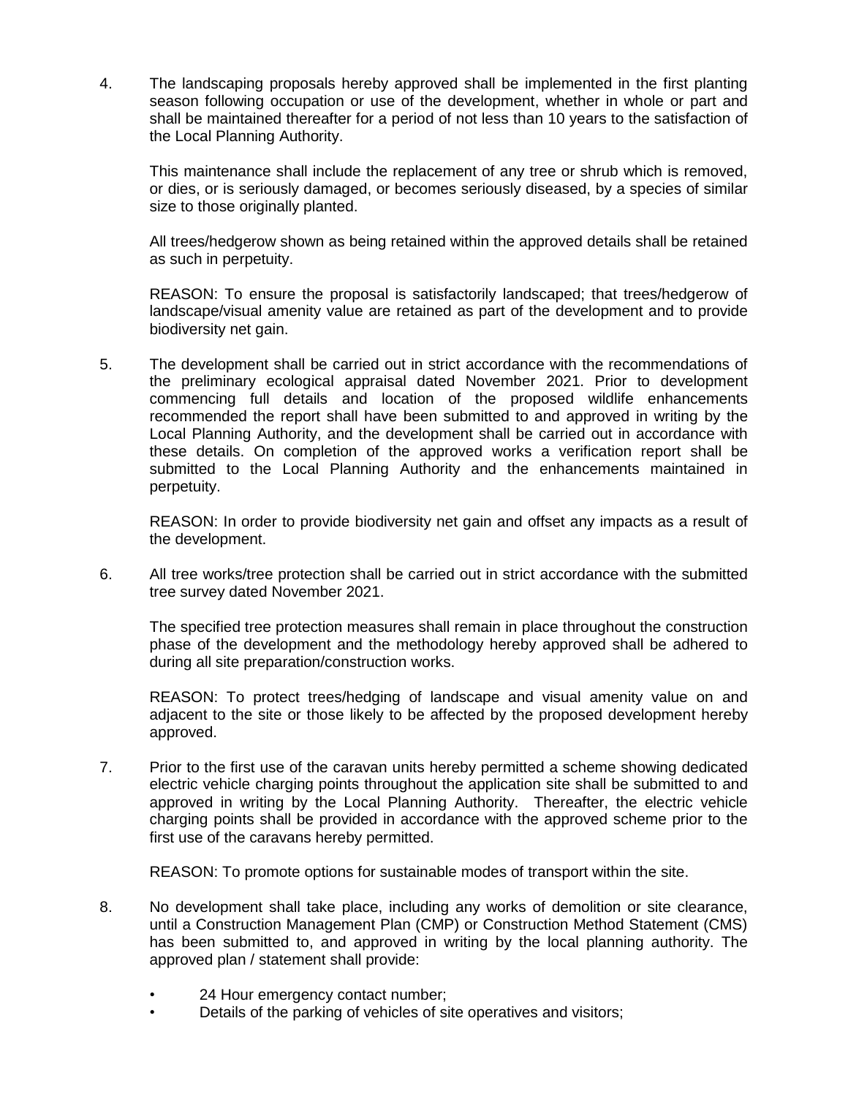4. The landscaping proposals hereby approved shall be implemented in the first planting season following occupation or use of the development, whether in whole or part and shall be maintained thereafter for a period of not less than 10 years to the satisfaction of the Local Planning Authority.

This maintenance shall include the replacement of any tree or shrub which is removed, or dies, or is seriously damaged, or becomes seriously diseased, by a species of similar size to those originally planted.

All trees/hedgerow shown as being retained within the approved details shall be retained as such in perpetuity.

REASON: To ensure the proposal is satisfactorily landscaped; that trees/hedgerow of landscape/visual amenity value are retained as part of the development and to provide biodiversity net gain.

5. The development shall be carried out in strict accordance with the recommendations of the preliminary ecological appraisal dated November 2021. Prior to development commencing full details and location of the proposed wildlife enhancements recommended the report shall have been submitted to and approved in writing by the Local Planning Authority, and the development shall be carried out in accordance with these details. On completion of the approved works a verification report shall be submitted to the Local Planning Authority and the enhancements maintained in perpetuity.

REASON: In order to provide biodiversity net gain and offset any impacts as a result of the development.

6. All tree works/tree protection shall be carried out in strict accordance with the submitted tree survey dated November 2021.

The specified tree protection measures shall remain in place throughout the construction phase of the development and the methodology hereby approved shall be adhered to during all site preparation/construction works.

REASON: To protect trees/hedging of landscape and visual amenity value on and adjacent to the site or those likely to be affected by the proposed development hereby approved.

7. Prior to the first use of the caravan units hereby permitted a scheme showing dedicated electric vehicle charging points throughout the application site shall be submitted to and approved in writing by the Local Planning Authority. Thereafter, the electric vehicle charging points shall be provided in accordance with the approved scheme prior to the first use of the caravans hereby permitted.

REASON: To promote options for sustainable modes of transport within the site.

- 8. No development shall take place, including any works of demolition or site clearance, until a Construction Management Plan (CMP) or Construction Method Statement (CMS) has been submitted to, and approved in writing by the local planning authority. The approved plan / statement shall provide:
	- 24 Hour emergency contact number;
	- Details of the parking of vehicles of site operatives and visitors;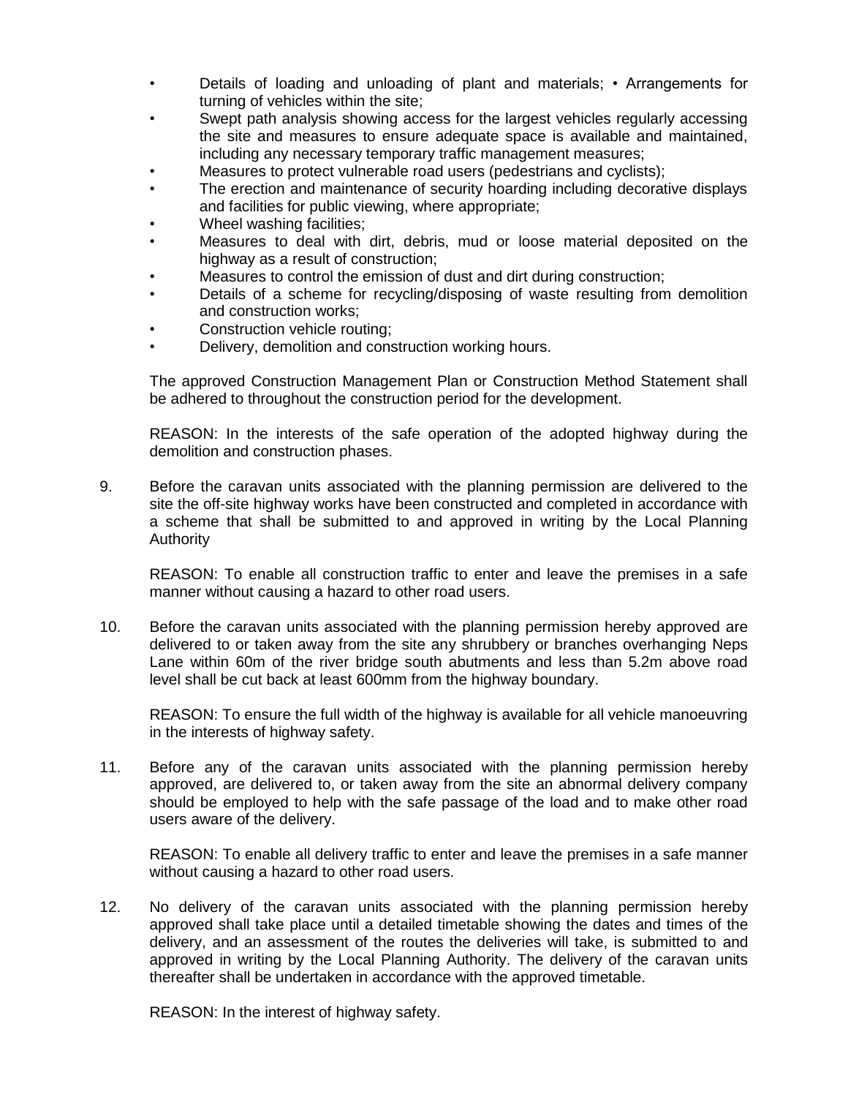- Details of loading and unloading of plant and materials; Arrangements for turning of vehicles within the site;
- Swept path analysis showing access for the largest vehicles regularly accessing the site and measures to ensure adequate space is available and maintained, including any necessary temporary traffic management measures;
- Measures to protect vulnerable road users (pedestrians and cyclists);
- The erection and maintenance of security hoarding including decorative displays and facilities for public viewing, where appropriate;
- Wheel washing facilities;
- Measures to deal with dirt, debris, mud or loose material deposited on the highway as a result of construction;
- Measures to control the emission of dust and dirt during construction;
- Details of a scheme for recycling/disposing of waste resulting from demolition and construction works;
- Construction vehicle routing:
- Delivery, demolition and construction working hours.

The approved Construction Management Plan or Construction Method Statement shall be adhered to throughout the construction period for the development.

REASON: In the interests of the safe operation of the adopted highway during the demolition and construction phases.

9. Before the caravan units associated with the planning permission are delivered to the site the off-site highway works have been constructed and completed in accordance with a scheme that shall be submitted to and approved in writing by the Local Planning Authority

REASON: To enable all construction traffic to enter and leave the premises in a safe manner without causing a hazard to other road users.

10. Before the caravan units associated with the planning permission hereby approved are delivered to or taken away from the site any shrubbery or branches overhanging Neps Lane within 60m of the river bridge south abutments and less than 5.2m above road level shall be cut back at least 600mm from the highway boundary.

REASON: To ensure the full width of the highway is available for all vehicle manoeuvring in the interests of highway safety.

11. Before any of the caravan units associated with the planning permission hereby approved, are delivered to, or taken away from the site an abnormal delivery company should be employed to help with the safe passage of the load and to make other road users aware of the delivery.

REASON: To enable all delivery traffic to enter and leave the premises in a safe manner without causing a hazard to other road users.

12. No delivery of the caravan units associated with the planning permission hereby approved shall take place until a detailed timetable showing the dates and times of the delivery, and an assessment of the routes the deliveries will take, is submitted to and approved in writing by the Local Planning Authority. The delivery of the caravan units thereafter shall be undertaken in accordance with the approved timetable.

REASON: In the interest of highway safety.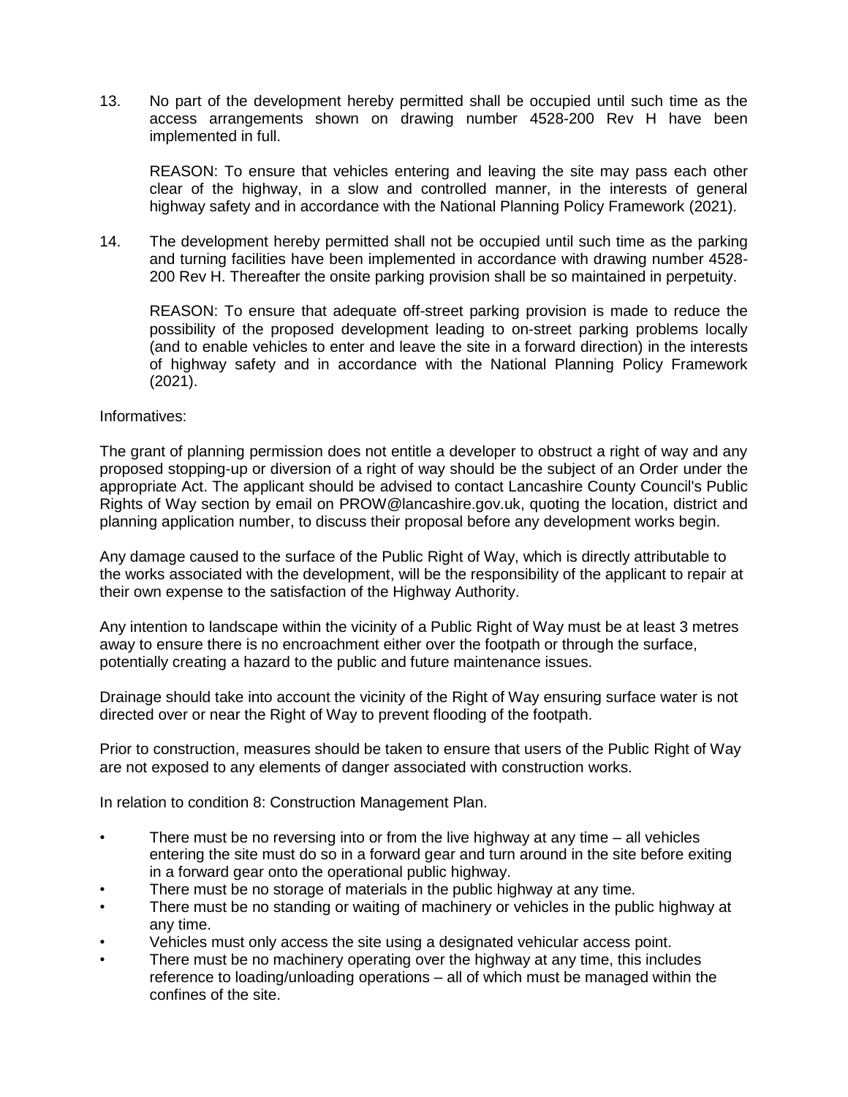13. No part of the development hereby permitted shall be occupied until such time as the access arrangements shown on drawing number 4528-200 Rev H have been implemented in full.

REASON: To ensure that vehicles entering and leaving the site may pass each other clear of the highway, in a slow and controlled manner, in the interests of general highway safety and in accordance with the National Planning Policy Framework (2021).

14. The development hereby permitted shall not be occupied until such time as the parking and turning facilities have been implemented in accordance with drawing number 4528- 200 Rev H. Thereafter the onsite parking provision shall be so maintained in perpetuity.

REASON: To ensure that adequate off-street parking provision is made to reduce the possibility of the proposed development leading to on-street parking problems locally (and to enable vehicles to enter and leave the site in a forward direction) in the interests of highway safety and in accordance with the National Planning Policy Framework (2021).

#### Informatives:

The grant of planning permission does not entitle a developer to obstruct a right of way and any proposed stopping-up or diversion of a right of way should be the subject of an Order under the appropriate Act. The applicant should be advised to contact Lancashire County Council's Public Rights of Way section by email on PROW@lancashire.gov.uk, quoting the location, district and planning application number, to discuss their proposal before any development works begin.

Any damage caused to the surface of the Public Right of Way, which is directly attributable to the works associated with the development, will be the responsibility of the applicant to repair at their own expense to the satisfaction of the Highway Authority.

Any intention to landscape within the vicinity of a Public Right of Way must be at least 3 metres away to ensure there is no encroachment either over the footpath or through the surface, potentially creating a hazard to the public and future maintenance issues.

Drainage should take into account the vicinity of the Right of Way ensuring surface water is not directed over or near the Right of Way to prevent flooding of the footpath.

Prior to construction, measures should be taken to ensure that users of the Public Right of Way are not exposed to any elements of danger associated with construction works.

In relation to condition 8: Construction Management Plan.

- There must be no reversing into or from the live highway at any time  $-$  all vehicles entering the site must do so in a forward gear and turn around in the site before exiting in a forward gear onto the operational public highway.
- There must be no storage of materials in the public highway at any time.
- There must be no standing or waiting of machinery or vehicles in the public highway at any time.
- Vehicles must only access the site using a designated vehicular access point.
- There must be no machinery operating over the highway at any time, this includes reference to loading/unloading operations – all of which must be managed within the confines of the site.